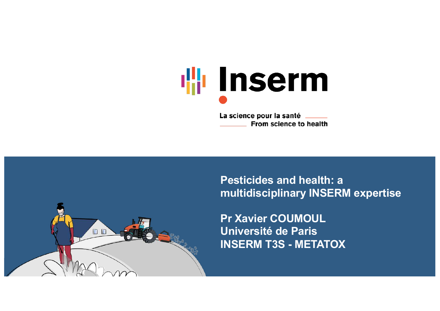

La science pour la santé \_\_\_\_\_ From science to health

**Pesticides and health: a multidisciplinary INSERM expertise**

**Pr Xavier COUMOUL Université de Paris INSERM T3S - METATOX**

DD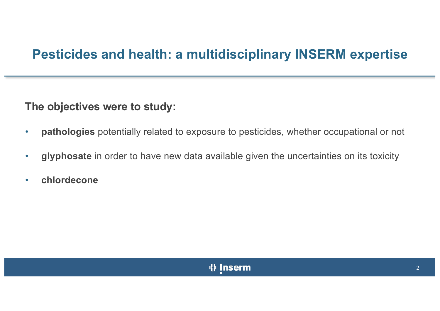### **Pesticides and health: a multidisciplinary INSERM expertise**

**The objectives were to study:**

- **pathologies** potentially related to exposure to pesticides, whether occupational or not
- **glyphosate** in order to have new data available given the uncertainties on its toxicity
- **chlordecone**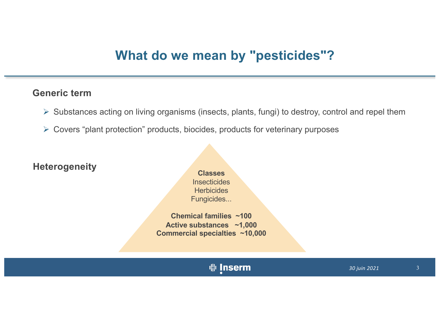#### **What do we mean by "pesticides"?**

#### **Generic term**

- $\triangleright$  Substances acting on living organisms (insects, plants, fungi) to destroy, control and repel them
- Ø Covers "plant protection" products, biocides, products for veterinary purposes

**Heterogeneity Classes** 

**Insecticides Herbicides** Fungicides...

**Chemical families ~100 Active substances ~1,000 Commercial specialties ~10,000**

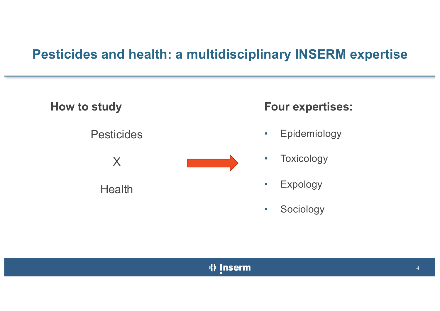### **Pesticides and health: a multidisciplinary INSERM expertise**

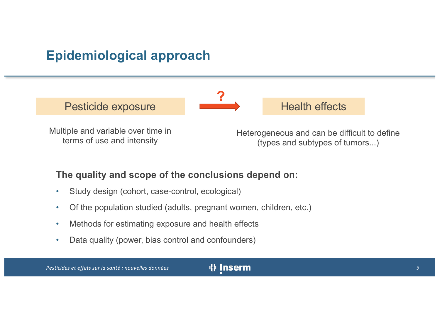### **Epidemiological approach**

Pesticide exposure **Health effects** 



Multiple and variable over time in terms of use and intensity

Heterogeneous and can be difficult to define (types and subtypes of tumors...)

#### **The quality and scope of the conclusions depend on:**

- Study design (cohort, case-control, ecological)
- Of the population studied (adults, pregnant women, children, etc.)
- Methods for estimating exposure and health effects
- Data quality (power, bias control and confounders)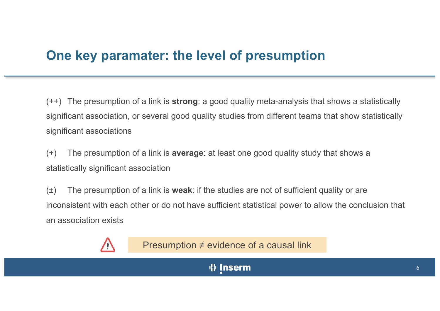#### **One key paramater: the level of presumption**

(++) The presumption of a link is **strong**: a good quality meta-analysis that shows a statistically significant association, or several good quality studies from different teams that show statistically significant associations

(+) The presumption of a link is **average**: at least one good quality study that shows a statistically significant association

(±) The presumption of a link is **weak**: if the studies are not of sufficient quality or are inconsistent with each other or do not have sufficient statistical power to allow the conclusion that an association exists



Presumption ≠ evidence of a causal link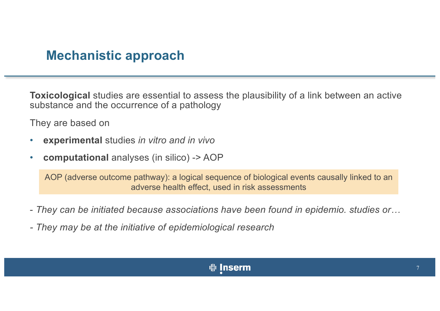#### **Mechanistic approach**

**Toxicological** studies are essential to assess the plausibility of a link between an active substance and the occurrence of a pathology

They are based on

- **experimental** studies *in vitro and in vivo*
- **computational** analyses (in silico) -> AOP

AOP (adverse outcome pathway): a logical sequence of biological events causally linked to an adverse health effect, used in risk assessments

- *They can be initiated because associations have been found in epidemio. studies or…*
- *- They may be at the initiative of epidemiological research*

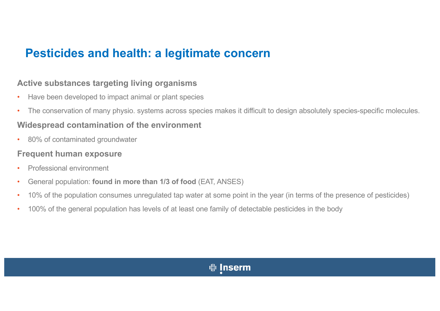#### **Pesticides and health: a legitimate concern**

#### **Active substances targeting living organisms**

- Have been developed to impact animal or plant species
- The conservation of many physio. systems across species makes it difficult to design absolutely species-specific molecules.

#### **Widespread contamination of the environment**

• 80% of contaminated groundwater

#### **Frequent human exposure**

- Professional environment
- General population: **found in more than 1/3 of food** (EAT, ANSES)
- 10% of the population consumes unregulated tap water at some point in the year (in terms of the presence of pesticides)
- 100% of the general population has levels of at least one family of detectable pesticides in the body

#### $\frac{1}{2}$  Inserm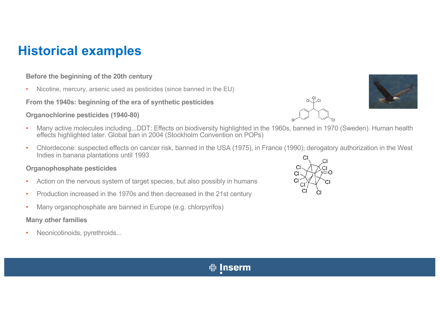### **Historical examples**

#### **Before the beginning of the 20th century**

• Nicotine, mercury, arsenic used as pesticides (since banned in the EU)

**From the 1940s: beginning of the era of synthetic pesticides**

#### **Organochlorine pesticides (1940-80)**

- Many active molecules including...DDT: Effects on biodiversity highlighted in the 1960s, banned in 1970 (Sweden). Human health effects highlighted later. Global ban in 2004 (Stockholm Convention on POPs)
- Chlordecone: suspected effects on cancer risk, banned in the USA (1975), in France (1990); derogatory authorization in the West Indies in banana plantations until 1993

#### **Organophosphate pesticides**

- Action on the nervous system of target species, but also possibly in humans
- Production increased in the 1970s and then decreased in the 21st century
- Many organophosphate are banned in Europe (e.g. chlorpyrifos)

#### **Many other families**

Neonicotinoids, pyrethroids...







#### **业 Inserm**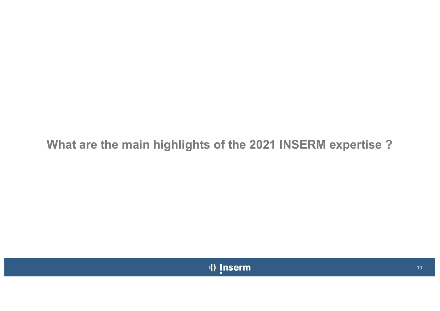#### **What are the main highlights of the 2021 INSERM expertise ?**

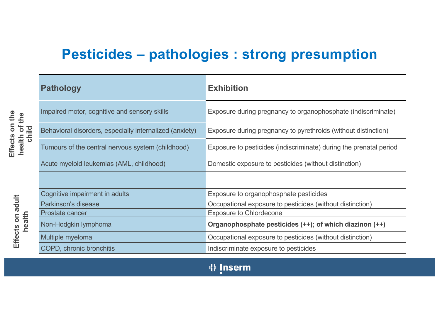### **Pesticides – pathologies : strong presumption**

|                                                           | <b>Pathology</b>                                        | <b>Exhibition</b>                                                  |
|-----------------------------------------------------------|---------------------------------------------------------|--------------------------------------------------------------------|
| $\frac{\nu}{\Box}$<br>iui vi<br>child<br><b>Independi</b> | Impaired motor, cognitive and sensory skills            | Exposure during pregnancy to organophosphate (indiscriminate)      |
|                                                           | Behavioral disorders, especially internalized (anxiety) | Exposure during pregnancy to pyrethroids (without distinction)     |
|                                                           | Tumours of the central nervous system (childhood)       | Exposure to pesticides (indiscriminate) during the prenatal period |
|                                                           | Acute myeloid leukemias (AML, childhood)                | Domestic exposure to pesticides (without distinction)              |
|                                                           |                                                         |                                                                    |
| health                                                    | Cognitive impairment in adults                          | Exposure to organophosphate pesticides                             |
|                                                           | <b>Parkinson's disease</b>                              | Occupational exposure to pesticides (without distinction)          |
|                                                           | Prostate cancer                                         | <b>Exposure to Chlordecone</b>                                     |
|                                                           | Non-Hodgkin lymphoma                                    | Organophosphate pesticides (++); of which diazinon (++)            |
|                                                           | Multiple myeloma                                        | Occupational exposure to pesticides (without distinction)          |
|                                                           | COPD, chronic bronchitis                                | Indiscriminate exposure to pesticides                              |

**Effects on the**  Effects on the **health of the health of the** 

**Effects on adult**

Effects on adult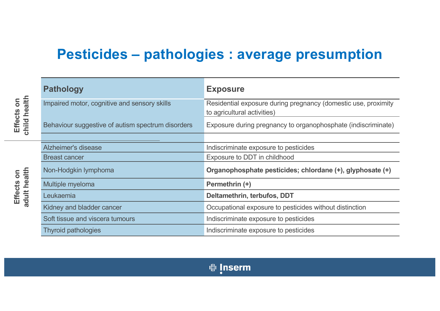### **Pesticides – pathologies : average presumption**

| <b>Pathology</b>                                  | <b>Exposure</b>                                                                               |
|---------------------------------------------------|-----------------------------------------------------------------------------------------------|
| Impaired motor, cognitive and sensory skills      | Residential exposure during pregnancy (domestic use, proximity<br>to agricultural activities) |
| Behaviour suggestive of autism spectrum disorders | Exposure during pregnancy to organophosphate (indiscriminate)                                 |
|                                                   |                                                                                               |
| <b>Alzheimer's disease</b>                        | Indiscriminate exposure to pesticides                                                         |
| <b>Breast cancer</b>                              | Exposure to DDT in childhood                                                                  |
| Non-Hodgkin lymphoma                              | Organophosphate pesticides; chlordane (+), glyphosate (+)                                     |
| Multiple myeloma                                  | Permethrin (+)                                                                                |
| Leukaemia                                         | Deltamethrin, terbufos, DDT                                                                   |
| Kidney and bladder cancer                         | Occupational exposure to pesticides without distinction                                       |
| Soft tissue and viscera tumours                   | Indiscriminate exposure to pesticides                                                         |
| <b>Thyroid pathologies</b>                        | Indiscriminate exposure to pesticides                                                         |

adult health **adult health Effects on**  Effects on

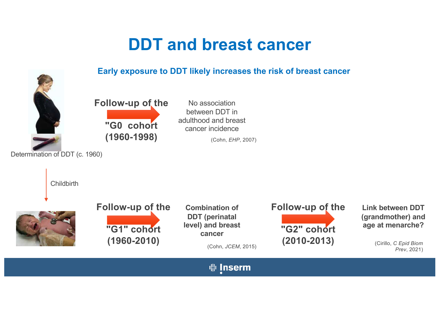## **DDT and breast cancer**



**Link between DDT (grandmother) and age at menarche?**

*Prev*, 2021)

**业** Inserm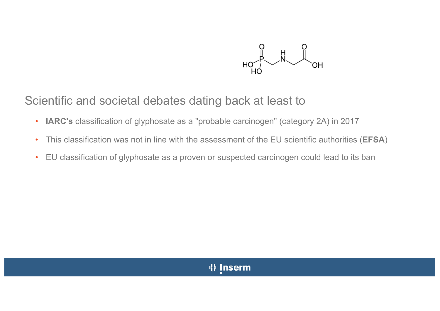

Scientific and societal debates dating back at least to

- **IARC's** classification of glyphosate as a "probable carcinogen" (category 2A) in 2017
- This classification was not in line with the assessment of the EU scientific authorities (**EFSA**)
- EU classification of glyphosate as a proven or suspected carcinogen could lead to its ban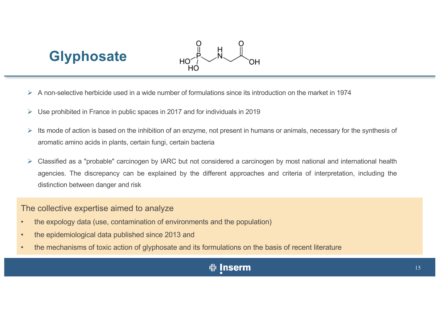## **Glyphosate**



- Ø A non-selective herbicide used in a wide number of formulations since its introduction on the market in 1974
- $\triangleright$  Use prohibited in France in public spaces in 2017 and for individuals in 2019
- $\triangleright$  Its mode of action is based on the inhibition of an enzyme, not present in humans or animals, necessary for the synthesis of aromatic amino acids in plants, certain fungi, certain bacteria
- Ø Classified as a "probable" carcinogen by IARC but not considered a carcinogen by most national and international health agencies. The discrepancy can be explained by the different approaches and criteria of interpretation, including the distinction between danger and risk

The collective expertise aimed to analyze

- the expology data (use, contamination of environments and the population)
- the epidemiological data published since 2013 and
- the mechanisms of toxic action of glyphosate and its formulations on the basis of recent literature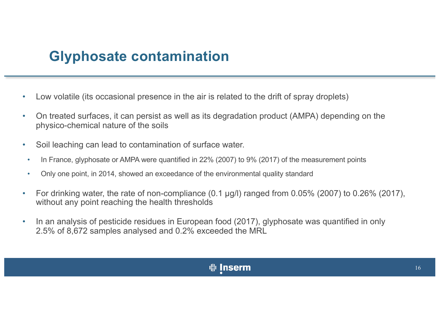### **Glyphosate contamination**

- Low volatile (its occasional presence in the air is related to the drift of spray droplets)
- On treated surfaces, it can persist as well as its degradation product (AMPA) depending on the physico-chemical nature of the soils
- Soil leaching can lead to contamination of surface water.
- In France, glyphosate or AMPA were quantified in 22% (2007) to 9% (2017) of the measurement points
- Only one point, in 2014, showed an exceedance of the environmental quality standard
- For drinking water, the rate of non-compliance (0.1 μg/l) ranged from 0.05% (2007) to 0.26% (2017), without any point reaching the health thresholds
- In an analysis of pesticide residues in European food (2017), glyphosate was quantified in only 2.5% of 8,672 samples analysed and 0.2% exceeded the MRL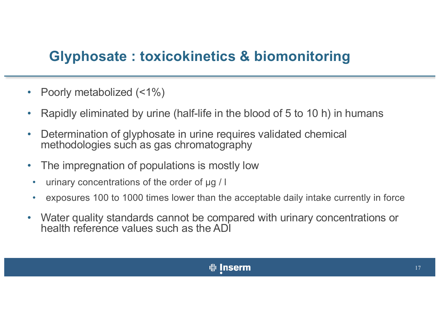### **Glyphosate : toxicokinetics & biomonitoring**

- Poorly metabolized (<1%)
- Rapidly eliminated by urine (half-life in the blood of 5 to 10 h) in humans
- Determination of glyphosate in urine requires validated chemical methodologies such as gas chromatography
- The impregnation of populations is mostly low
- urinary concentrations of the order of μg / l
- exposures 100 to 1000 times lower than the acceptable daily intake currently in force
- Water quality standards cannot be compared with urinary concentrations or health reference values such as the ADI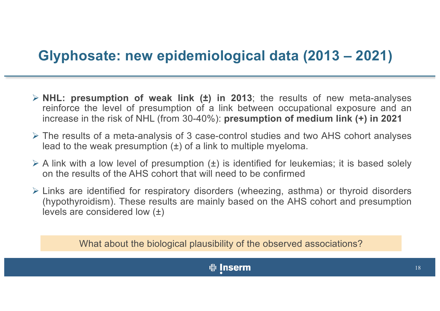### **Glyphosate: new epidemiological data (2013 – 2021)**

- Ø **NHL: presumption of weak link (±) in 2013**; the results of new meta-analyses reinforce the level of presumption of a link between occupational exposure and an increase in the risk of NHL (from 30-40%): **presumption of medium link (+) in 2021**
- $\triangleright$  The results of a meta-analysis of 3 case-control studies and two AHS cohort analyses lead to the weak presumption  $(\pm)$  of a link to multiple myeloma.
- $\triangleright$  A link with a low level of presumption ( $\pm$ ) is identified for leukemias; it is based solely on the results of the AHS cohort that will need to be confirmed
- $\triangleright$  Links are identified for respiratory disorders (wheezing, asthma) or thyroid disorders (hypothyroidism). These results are mainly based on the AHS cohort and presumption levels are considered low (±)

What about the biological plausibility of the observed associations?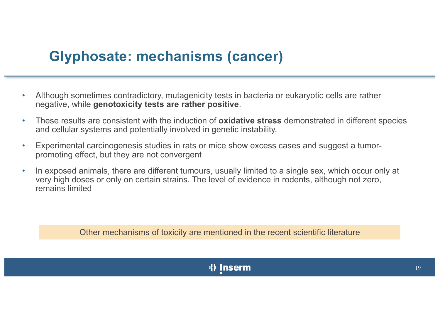### **Glyphosate: mechanisms (cancer)**

- Although sometimes contradictory, mutagenicity tests in bacteria or eukaryotic cells are rather negative, while **genotoxicity tests are rather positive**.
- These results are consistent with the induction of **oxidative stress** demonstrated in different species and cellular systems and potentially involved in genetic instability.
- Experimental carcinogenesis studies in rats or mice show excess cases and suggest a tumorpromoting effect, but they are not convergent
- In exposed animals, there are different tumours, usually limited to a single sex, which occur only at very high doses or only on certain strains. The level of evidence in rodents, although not zero, remains limited

Other mechanisms of toxicity are mentioned in the recent scientific literature

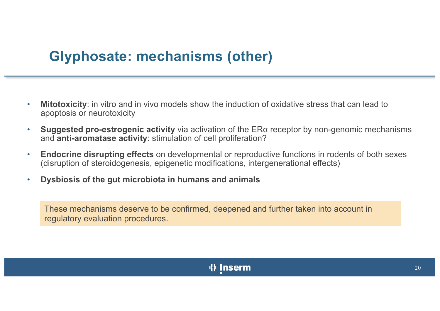### **Glyphosate: mechanisms (other)**

- **Mitotoxicity**: in vitro and in vivo models show the induction of oxidative stress that can lead to apoptosis or neurotoxicity
- **Suggested pro-estrogenic activity** via activation of the ERα receptor by non-genomic mechanisms and **anti-aromatase activity**: stimulation of cell proliferation?
- **Endocrine disrupting effects** on developmental or reproductive functions in rodents of both sexes (disruption of steroidogenesis, epigenetic modifications, intergenerational effects)
- **Dysbiosis of the gut microbiota in humans and animals**

These mechanisms deserve to be confirmed, deepened and further taken into account in regulatory evaluation procedures.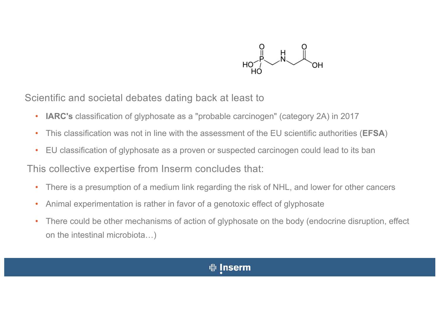

Scientific and societal debates dating back at least to

- **IARC's** classification of glyphosate as a "probable carcinogen" (category 2A) in 2017
- This classification was not in line with the assessment of the EU scientific authorities (**EFSA**)
- EU classification of glyphosate as a proven or suspected carcinogen could lead to its ban

This collective expertise from Inserm concludes that:

- There is a presumption of a medium link regarding the risk of NHL, and lower for other cancers
- Animal experimentation is rather in favor of a genotoxic effect of glyphosate
- There could be other mechanisms of action of glyphosate on the body (endocrine disruption, effect on the intestinal microbiota…)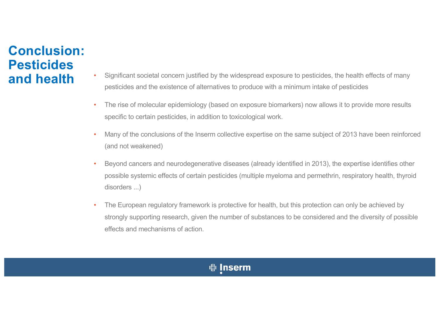# **Conclusion: Pesticides**

- and health **•** Significant societal concern justified by the widespread exposure to pesticides, the health effects of many pesticides and the existence of alternatives to produce with a minimum intake of pesticides
	- The rise of molecular epidemiology (based on exposure biomarkers) now allows it to provide more results specific to certain pesticides, in addition to toxicological work.
	- Many of the conclusions of the Inserm collective expertise on the same subject of 2013 have been reinforced (and not weakened)
	- Beyond cancers and neurodegenerative diseases (already identified in 2013), the expertise identifies other possible systemic effects of certain pesticides (multiple myeloma and permethrin, respiratory health, thyroid disorders ...)
	- The European regulatory framework is protective for health, but this protection can only be achieved by strongly supporting research, given the number of substances to be considered and the diversity of possible effects and mechanisms of action.

#### **业 Inserm**